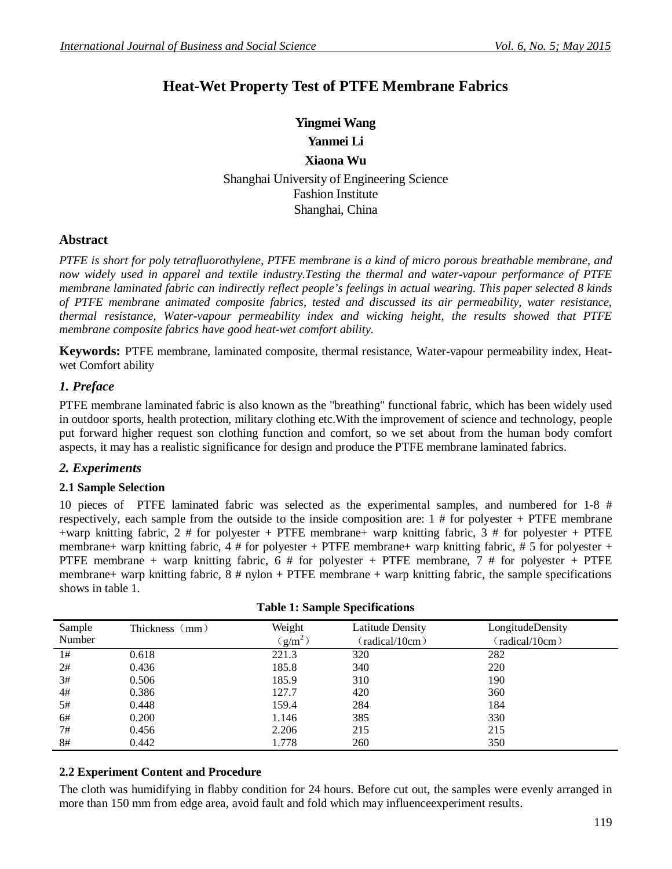## **Heat-Wet Property Test of PTFE Membrane Fabrics**

# **Yingmei Wang**

## **Yanmei Li Xiaona Wu**

Shanghai University of Engineering Science Fashion Institute Shanghai, China

## **Abstract**

*PTFE is short for poly tetrafluorothylene, PTFE membrane is a kind of micro porous breathable membrane, and now widely used in apparel and textile industry.Testing the thermal and water-vapour performance of PTFE membrane laminated fabric can indirectly reflect people's feelings in actual wearing. This paper selected 8 kinds of PTFE membrane animated composite fabrics, tested and discussed its air permeability, water resistance, thermal resistance, Water-vapour permeability index and wicking height, the results showed that PTFE membrane composite fabrics have good heat-wet comfort ability.*

**Keywords:** PTFE membrane, laminated composite, thermal resistance, Water-vapour permeability index, Heatwet Comfort ability

## *1. Preface*

PTFE membrane laminated fabric is also known as the "breathing" functional fabric, which has been widely used in outdoor sports, health protection, military clothing etc.With the improvement of science and technology, people put forward higher request son clothing function and comfort, so we set about from the human body comfort aspects, it may has a realistic significance for design and produce the PTFE membrane laminated fabrics.

## *2. Experiments*

#### **2.1 Sample Selection**

10 pieces of PTFE laminated fabric was selected as the experimental samples, and numbered for 1-8 # respectively, each sample from the outside to the inside composition are: 1 # for polyester + PTFE membrane +warp knitting fabric,  $2 \#$  for polyester + PTFE membrane+ warp knitting fabric,  $3 \#$  for polyester + PTFE membrane+ warp knitting fabric,  $4 \#$  for polyester + PTFE membrane+ warp knitting fabric,  $\#$  5 for polyester + PTFE membrane + warp knitting fabric, 6 # for polyester + PTFE membrane, 7 # for polyester + PTFE membrane+ warp knitting fabric,  $8 \#$  nylon + PTFE membrane + warp knitting fabric, the sample specifications shows in table 1.

#### **Table 1: Sample Specifications**

#### **2.2 Experiment Content and Procedure**

The cloth was humidifying in flabby condition for 24 hours. Before cut out, the samples were evenly arranged in more than 150 mm from edge area, avoid fault and fold which may influenceexperiment results.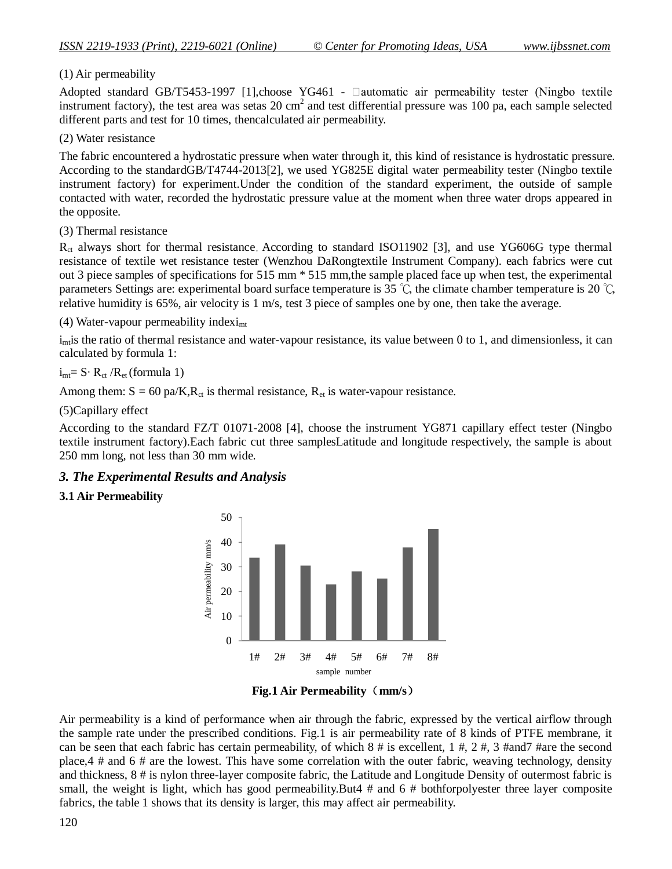#### (1) Air permeability

Adopted standard GB/T5453-1997 [1], choose YG461 -  $\Box$ automatic air permeability tester (Ningbo textile instrument factory), the test area was setas 20 cm<sup>2</sup> and test differential pressure was 100 pa, each sample selected different parts and test for 10 times, thencalculated air permeability.

#### (2) Water resistance

The fabric encountered a hydrostatic pressure when water through it, this kind of resistance is hydrostatic pressure. According to the standardGB/T4744-2013[2], we used YG825E digital water permeability tester (Ningbo textile instrument factory) for experiment.Under the condition of the standard experiment, the outside of sample contacted with water, recorded the hydrostatic pressure value at the moment when three water drops appeared in the opposite.

#### (3) Thermal resistance

R<sub>ct</sub> always short for thermal resistance. According to standard ISO11902 [3], and use YG606G type thermal resistance of textile wet resistance tester (Wenzhou DaRongtextile Instrument Company). each fabrics were cut out 3 piece samples of specifications for 515 mm \* 515 mm,the sample placed face up when test, the experimental parameters Settings are: experimental board surface temperature is 35 ℃, the climate chamber temperature is 20 ℃, relative humidity is 65%, air velocity is 1 m/s, test 3 piece of samples one by one, then take the average.

(4) Water-vapour permeability indexi<sub>mt</sub>

 $i_{\text{mi}}$  is the ratio of thermal resistance and water-vapour resistance, its value between 0 to 1, and dimensionless, it can calculated by formula 1:

#### $i_{\text{mt}}= S \cdot R_{\text{ct}} / R_{\text{et}}$  (formula 1)

Among them:  $S = 60$  pa/K, $R_{ct}$  is thermal resistance,  $R_{et}$  is water-vapour resistance.

(5)Capillary effect

According to the standard FZ/T 01071-2008 [4], choose the instrument YG871 capillary effect tester (Ningbo textile instrument factory).Each fabric cut three samplesLatitude and longitude respectively, the sample is about 250 mm long, not less than 30 mm wide.

#### *3. The Experimental Results and Analysis*

#### **3.1 Air Permeability**





Air permeability is a kind of performance when air through the fabric, expressed by the vertical airflow through the sample rate under the prescribed conditions. Fig.1 is air permeability rate of 8 kinds of PTFE membrane, it can be seen that each fabric has certain permeability, of which  $8 \#$  is excellent, 1  $\#$ , 2  $\#$ , 3  $\#$ and7  $\#$ are the second place,4 # and 6 # are the lowest. This have some correlation with the outer fabric, weaving technology, density and thickness, 8 # is nylon three-layer composite fabric, the Latitude and Longitude Density of outermost fabric is small, the weight is light, which has good permeability.But4 # and 6 # bothforpolyester three layer composite fabrics, the table 1 shows that its density is larger, this may affect air permeability.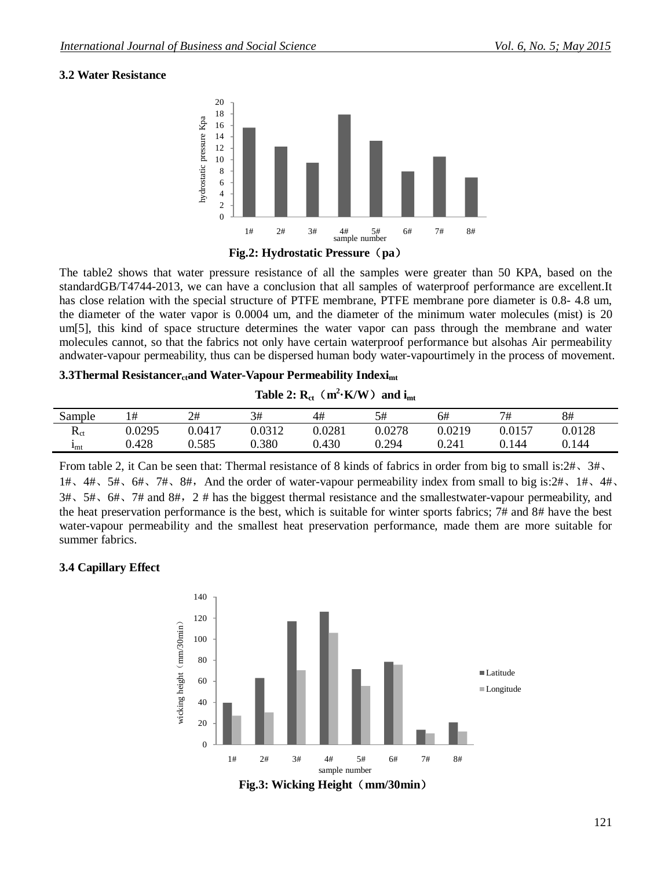## **3.2 Water Resistance**



The table2 shows that water pressure resistance of all the samples were greater than 50 KPA, based on the standardGB/T4744-2013, we can have a conclusion that all samples of waterproof performance are excellent.It has close relation with the special structure of PTFE membrane, PTFE membrane pore diameter is 0.8- 4.8 um, the diameter of the water vapor is 0.0004 um, and the diameter of the minimum water molecules (mist) is 20 um[5], this kind of space structure determines the water vapor can pass through the membrane and water molecules cannot, so that the fabrics not only have certain waterproof performance but alsohas Air permeability andwater-vapour permeability, thus can be dispersed human body water-vapourtimely in the process of movement.

## **3.3Thermal Resistancer**<sub>ct</sub>and Water-Vapour Permeability Indexi<sub>mt</sub>

**Table 2:**  $\mathbf{R}_{\text{ct}}$  ( $\mathbf{m}^2 \cdot \mathbf{K}/\mathbf{W}$ ) and  $\mathbf{i}_{\text{mt}}$ 

| Sample                        | 1#     | 2#     | 3#     | 4#     | 5#     | 6#     | 7#     | 8#     |
|-------------------------------|--------|--------|--------|--------|--------|--------|--------|--------|
| D<br>$\mathbf{r}_{\text{ct}}$ | 0.0295 | 0.0417 | 0.0312 | 0.0281 | 0.0278 | 0.0219 | 0.0157 | 0.0128 |
| <b>I</b> mt                   | 0.428  | 0.585  | 0.380  | 0.430  | 0.294  | 0.241  | 144. ر | 0.144  |

From table 2, it Can be seen that: Thermal resistance of 8 kinds of fabrics in order from big to small is:2#、3#、 1#、4#、5#、6#、7#、8#,And the order of water-vapour permeability index from small to big is:2#、1#、4#、  $3\#$ ,  $5\#$ ,  $6\#$ ,  $7\#$  and  $8\#$ ,  $2\#$  has the biggest thermal resistance and the smallestwater-vapour permeability, and the heat preservation performance is the best, which is suitable for winter sports fabrics; 7# and 8# have the best water-vapour permeability and the smallest heat preservation performance, made them are more suitable for summer fabrics.

## **3.4 Capillary Effect**